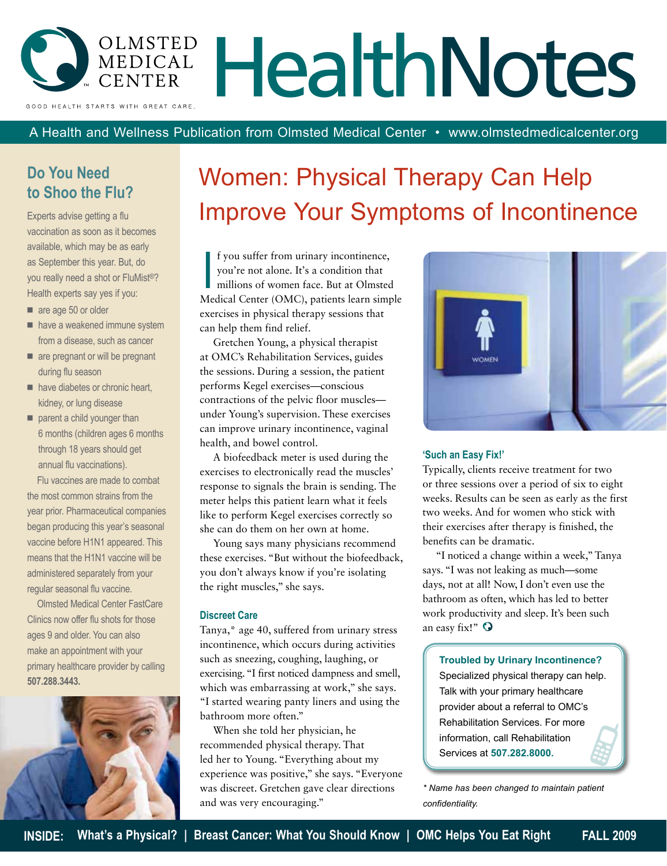

A Health and Wellness Publication from Olmsted Medical Center • www.olmstedmedicalcenter.org

## **Do You Need to Shoo the Flu?**

Experts advise getting a flu vaccination as soon as it becomes available, which may be as early as September this year. But, do you really need a shot or FluMist®? Health experts say yes if you:

- are age 50 or older
- $\blacksquare$  have a weakened immune system from a disease, such as cancer
- $\blacksquare$  are pregnant or will be pregnant during flu season
- $\blacksquare$  have diabetes or chronic heart, kidney, or lung disease
- $\blacksquare$  parent a child younger than 6 months (children ages 6 months through 18 years should get annual flu vaccinations).

Flu vaccines are made to combat the most common strains from the year prior. Pharmaceutical companies began producing this year's seasonal vaccine before H1N1 appeared. This means that the H1N1 vaccine will be administered separately from your regular seasonal flu vaccine.

Olmsted Medical Center FastCare Clinics now offer flu shots for those ages 9 and older. You can also make an appointment with your primary healthcare provider by calling **507.288.3443.**



# Women: Physical Therapy Can Help Improve Your Symptoms of Incontinence

I f you suffer from urinary incontinence,<br>you're not alone. It's a condition that<br>millions of women face. But at Olmsted<br>Medical Center (OMC), patients learn simple f you suffer from urinary incontinence, you're not alone. It's a condition that millions of women face. But at Olmsted exercises in physical therapy sessions that can help them find relief.

Gretchen Young, a physical therapist at OMC's Rehabilitation Services, guides the sessions. During a session, the patient performs Kegel exercises—conscious contractions of the pelvic floor muscles under Young's supervision. These exercises can improve urinary incontinence, vaginal health, and bowel control.

A biofeedback meter is used during the exercises to electronically read the muscles' response to signals the brain is sending. The meter helps this patient learn what it feels like to perform Kegel exercises correctly so she can do them on her own at home.

Young says many physicians recommend these exercises. "But without the biofeedback, you don't always know if you're isolating the right muscles," she says.

#### **Discreet Care**

Tanya,\* age 40, suffered from urinary stress incontinence, which occurs during activities such as sneezing, coughing, laughing, or exercising. "I first noticed dampness and smell, which was embarrassing at work," she says. "I started wearing panty liners and using the bathroom more often."

When she told her physician, he recommended physical therapy. That led her to Young. "Everything about my experience was positive," she says. "Everyone was discreet. Gretchen gave clear directions and was very encouraging."



### **'Such an Easy Fix!'**

Typically, clients receive treatment for two or three sessions over a period of six to eight weeks. Results can be seen as early as the first two weeks. And for women who stick with their exercises after therapy is finished, the benefits can be dramatic.

"I noticed a change within a week," Tanya says. "I was not leaking as much—some days, not at all! Now, I don't even use the bathroom as often, which has led to better work productivity and sleep. It's been such an easy fix!"  $\mathbf{\mathbf{\mathsf{Q}}}$ 

**Troubled by Urinary Incontinence?**  Specialized physical therapy can help. Talk with your primary healthcare provider about a referral to OMC's Rehabilitation Services. For more information, call Rehabilitation Services at **507.282.8000.** 

*\* Name has been changed to maintain patient confidentiality.*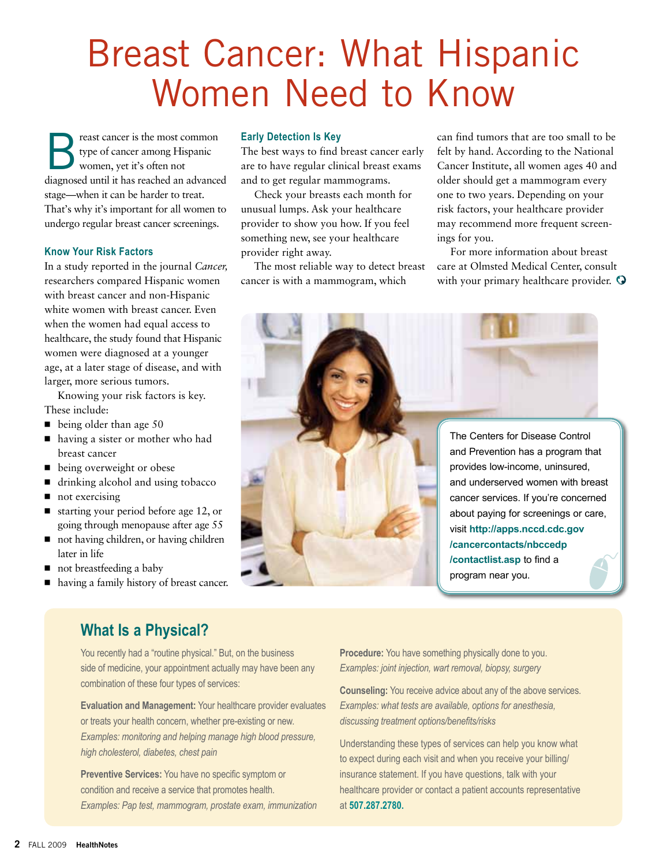# Breast Cancer: What Hispanic Women Need to Know

reast cancer is the most common type of cancer among Hispanic women, yet it's often not diagnosed until it has reached an advanced stage—when it can be harder to treat. That's why it's important for all women to undergo regular breast cancer screenings.

### **Know Your Risk Factors**

In a study reported in the journal *Cancer,* researchers compared Hispanic women with breast cancer and non-Hispanic white women with breast cancer. Even when the women had equal access to healthcare, the study found that Hispanic women were diagnosed at a younger age, at a later stage of disease, and with larger, more serious tumors.

Knowing your risk factors is key. These include:

- $\blacksquare$  being older than age 50
- having a sister or mother who had breast cancer
- being overweight or obese
- drinking alcohol and using tobacco
- $\blacksquare$  not exercising
- starting your period before age 12, or going through menopause after age 55
- $\blacksquare$  not having children, or having children later in life
- $\blacksquare$  not breastfeeding a baby
- having a family history of breast cancer.

#### **Early Detection Is Key**

The best ways to find breast cancer early are to have regular clinical breast exams and to get regular mammograms.

Check your breasts each month for unusual lumps. Ask your healthcare provider to show you how. If you feel something new, see your healthcare provider right away.

The most reliable way to detect breast cancer is with a mammogram, which

can find tumors that are too small to be felt by hand. According to the National Cancer Institute, all women ages 40 and older should get a mammogram every one to two years. Depending on your risk factors, your healthcare provider may recommend more frequent screenings for you.

For more information about breast care at Olmsted Medical Center, consult with your primary healthcare provider.  $\mathbf \Omega$ 



## **What Is a Physical?**

You recently had a "routine physical." But, on the business side of medicine, your appointment actually may have been any combination of these four types of services:

**Evaluation and Management:** Your healthcare provider evaluates or treats your health concern, whether pre-existing or new. *Examples: monitoring and helping manage high blood pressure, high cholesterol, diabetes, chest pain*

**Preventive Services:** You have no specific symptom or condition and receive a service that promotes health. *Examples: Pap test, mammogram, prostate exam, immunization* **Procedure:** You have something physically done to you. *Examples: joint injection, wart removal, biopsy, surgery*

**Counseling:** You receive advice about any of the above services. *Examples: what tests are available, options for anesthesia, discussing treatment options/benefits/risks*

Understanding these types of services can help you know what to expect during each visit and when you receive your billing/ insurance statement. If you have questions, talk with your healthcare provider or contact a patient accounts representative at **507.287.2780.**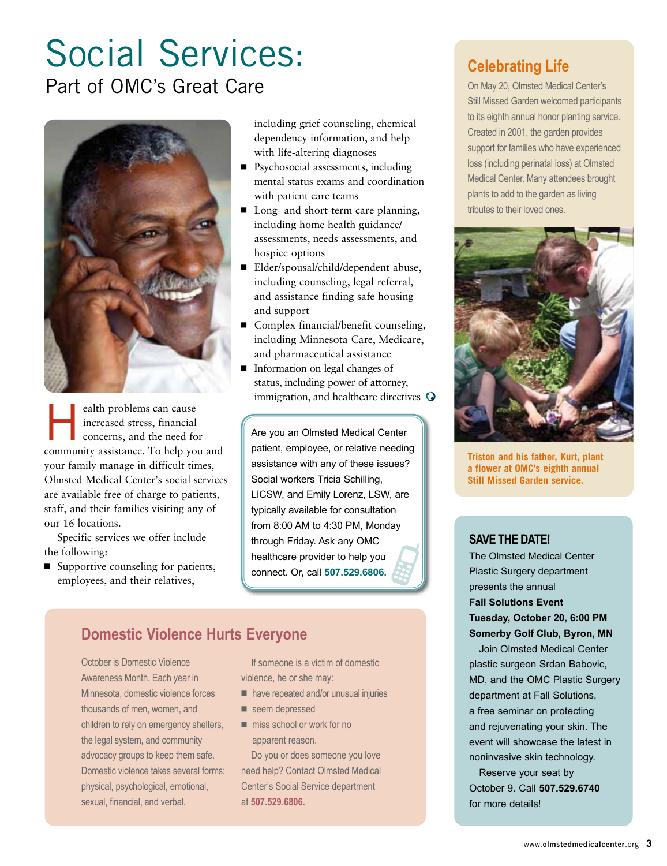# Social Services: Part of OMC's Great Care



ealth problems can cause<br>increased stress, financial<br>concerns, and the need fo increased stress, financial concerns, and the need for community assistance. To help you and your family manage in difficult times, Olmsted Medical Center's social services are available free of charge to patients, staff, and their families visiting any of our 16 locations.

Specific services we offer include the following:

■ Supportive counseling for patients, employees, and their relatives,

including grief counseling, chemical dependency information, and help with life-altering diagnoses

- Psychosocial assessments, including mental status exams and coordination with patient care teams
- Long- and short-term care planning, including home health guidance/ assessments, needs assessments, and hospice options
- ◾ Elder/spousal/child/dependent abuse, including counseling, legal referral, and assistance finding safe housing and support
- Complex financial/benefit counseling, including Minnesota Care, Medicare, and pharmaceutical assistance
- Information on legal changes of status, including power of attorney, immigration, and healthcare directives <sup>O</sup>

Are you an Olmsted Medical Center patient, employee, or relative needing assistance with any of these issues? Social workers Tricia Schilling, LICSW, and Emily Lorenz, LSW, are typically available for consultation from 8:00 AM to 4:30 PM, Monday through Friday. Ask any OMC healthcare provider to help you connect. Or, call **507.529.6806.**

## **Domestic Violence Hurts Everyone**

October is Domestic Violence Awareness Month. Each year in Minnesota, domestic violence forces thousands of men, women, and children to rely on emergency shelters, the legal system, and community advocacy groups to keep them safe. Domestic violence takes several forms: physical, psychological, emotional, sexual, financial, and verbal.

If someone is a victim of domestic violence, he or she may:

- have repeated and/or unusual injuries
- seem depressed
- $\blacksquare$  miss school or work for no apparent reason.

Do you or does someone you love need help? Contact Olmsted Medical Center's Social Service department at **507.529.6806.**

# **Celebrating Life**

On May 20, Olmsted Medical Center's Still Missed Garden welcomed participants to its eighth annual honor planting service. Created in 2001, the garden provides support for families who have experienced loss (including perinatal loss) at Olmsted Medical Center. Many attendees brought plants to add to the garden as living tributes to their loved ones.



**Triston and his father, Kurt, plant a flower at OMC's eighth annual Still Missed Garden service.**

## **Save the Date!**

The Olmsted Medical Center Plastic Surgery department presents the annual **Fall Solutions Event Tuesday, October 20, 6:00 PM Somerby Golf Club, Byron, MN**

Join Olmsted Medical Center plastic surgeon Srdan Babovic, MD, and the OMC Plastic Surgery department at Fall Solutions, a free seminar on protecting and rejuvenating your skin. The event will showcase the latest in noninvasive skin technology. Reserve your seat by

October 9. Call **507.529.6740**  for more details!